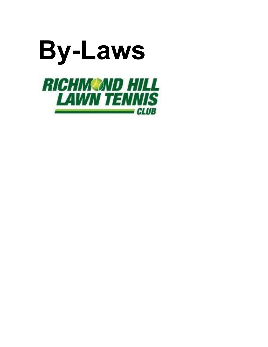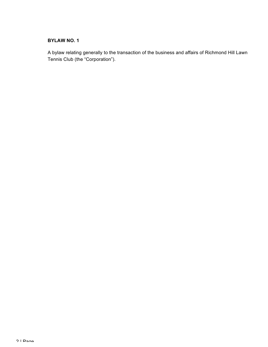## **BYLAW NO. 1**

A bylaw relating generally to the transaction of the business and affairs of Richmond Hill Lawn Tennis Club (the "Corporation").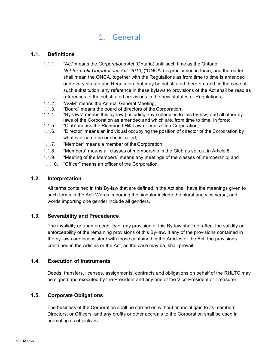# 1. General

## **1.1. Definitions**

- 1.1.1. "Act" means the *Corporations Act* (Ontario) until such time as the Ontario *Not-for-profit Corporations Act, 2010*, ("ONCA") is proclaimed in force, and thereafter shall mean the ONCA, together with the Regulations as from time to time is amended and every statute and Regulation that may be substituted therefore and, in the case of such substitution, any reference in these bylaws to provisions of the Act shall be read as references to the substituted provisions in the new statutes or Regulations;
- 1.1.2. "AGM" means the Annual General Meeting;
- 1.1.3. "Board" means the board of directors of theCorporation;
- 1.1.4. "By-laws" means this by-law (including any schedules to this by-law) and all other bylaws of the Corporation as amended and which are, from time to time, in force;
- 1.1.5. "Club" means the Richmond Hill Lawn Tennis Club Corporation;
- 1.1.6. "Director" means an individual occupying the position of director of the Corporation by whatever name he or she is called;
- 1.1.7. "Member" means a member of the Corporation;
- 1.1.8. "Members" means all classes of membership in the Club as set out in Article 8;
- 1.1.9. "Meeting of the Members" means any meetings of the classes of membership; and
- 1.1.10. "Officer" means an officer of the Corporation.

## **1.2. Interpretation**

All terms contained in this By-law that are defined in the Act shall have the meanings given to such terms in the Act. Words importing the singular include the plural and vice versa, and words importing one gender include all genders.

## **1.3. Severability and Precedence**

The invalidity or unenforceability of any provision of this By-law shall not affect the validity or enforceability of the remaining provisions of this By-law. If any of the provisions contained in the by-laws are inconsistent with those contained in the Articles or the Act, the provisions contained in the Articles or the Act, as the case may be, shall prevail.

## **1.4. Execution of Instruments**

Deeds, transfers, licenses, assignments, contracts and obligations on behalf of the RHLTC may be signed and executed by the President and any one of the Vice-President or Treasurer.

## **1.5. Corporate Obligations**

The business of the Corporation shall be carried on without financial gain to its members, Directors, or Officers, and any profits or other accruals to the Corporation shall be used in promoting its objectives.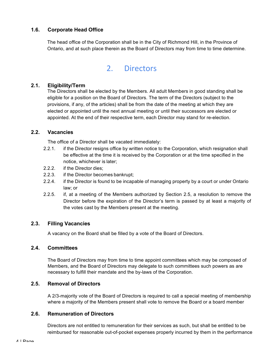## **1.6. Corporate Head Office**

The head office of the Corporation shall be in the City of Richmond Hill, in the Province of Ontario, and at such place therein as the Board of Directors may from time to time determine.

## 2. Directors

## **2.1. Eligibility/Term**

The Directors shall be elected by the Members. All adult Members in good standing shall be eligible for a position on the Board of Directors. The term of the Directors (subject to the provisions, if any, of the articles) shall be from the date of the meeting at which they are elected or appointed until the next annual meeting or until their successors are elected or appointed. At the end of their respective term, each Director may stand for re-election.

## **2.2. Vacancies**

The office of a Director shall be vacated immediately:

- 2.2.1. if the Director resigns office by written notice to the Corporation, which resignation shall be effective at the time it is received by the Corporation or at the time specified in the notice, whichever is later;
- 2.2.2. if the Director dies;
- 2.2.3. if the Director becomes bankrupt;
- 2.2.4. if the Director is found to be incapable of managing property by a court or under Ontario law; or
- 2.2.5. if, at a meeting of the Members authorized by Section 2.5, a resolution to remove the Director before the expiration of the Director's term is passed by at least a majority of the votes cast by the Members present at the meeting.

## **2.3. Filling Vacancies**

A vacancy on the Board shall be filled by a vote of the Board of Directors.

## **2.4. Committees**

The Board of Directors may from time to time appoint committees which may be composed of Members, and the Board of Directors may delegate to such committees such powers as are necessary to fulfill their mandate and the by-laws of the Corporation.

## **2.5. Removal of Directors**

A 2/3-majority vote of the Board of Directors is required to call a special meeting of membership where a majority of the Members present shall vote to remove the Board or a board member

## **2.6. Remuneration of Directors**

Directors are not entitled to remuneration for their services as such, but shall be entitled to be reimbursed for reasonable out-of-pocket expenses properly incurred by them in the performance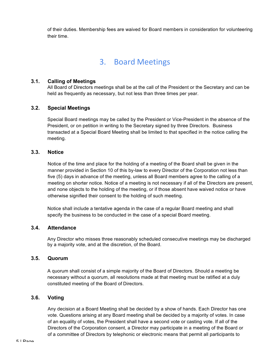of their duties. Membership fees are waived for Board members in consideration for volunteering their time.

## 3. Board Meetings

## **3.1. Calling of Meetings**

All Board of Directors meetings shall be at the call of the President or the Secretary and can be held as frequently as necessary, but not less than three times per year.

## **3.2. Special Meetings**

Special Board meetings may be called by the President or Vice-President in the absence of the President, or on petition in writing to the Secretary signed by three Directors. Business transacted at a Special Board Meeting shall be limited to that specified in the notice calling the meeting.

## **3.3. Notice**

Notice of the time and place for the holding of a meeting of the Board shall be given in the manner provided in Section 10 of this by-law to every Director of the Corporation not less than five (5) days in advance of the meeting, unless all Board members agree to the calling of a meeting on shorter notice. Notice of a meeting is not necessary if all of the Directors are present, and none objects to the holding of the meeting, or if those absent have waived notice or have otherwise signified their consent to the holding of such meeting.

Notice shall include a tentative agenda in the case of a regular Board meeting and shall specify the business to be conducted in the case of a special Board meeting.

## **3.4. Attendance**

Any Director who misses three reasonably scheduled consecutive meetings may be discharged by a majority vote, and at the discretion, of the Board.

## **3.5. Quorum**

A quorum shall consist of a simple majority of the Board of Directors. Should a meeting be necessary without a quorum, all resolutions made at that meeting must be ratified at a duly constituted meeting of the Board of Directors.

## **3.6. Voting**

Any decision at a Board Meeting shall be decided by a show of hands. Each Director has one vote. Questions arising at any Board meeting shall be decided by a majority of votes. In case of an equality of votes, the President shall have a second vote or casting vote. If all of the Directors of the Corporation consent, a Director may participate in a meeting of the Board or of a committee of Directors by telephonic or electronic means that permit all participants to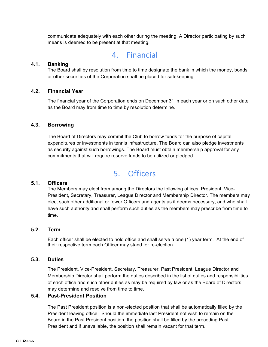communicate adequately with each other during the meeting. A Director participating by such means is deemed to be present at that meeting.

## 4. Financial

## **4.1. Banking**

The Board shall by resolution from time to time designate the bank in which the money, bonds or other securities of the Corporation shall be placed for safekeeping.

## **4.2. Financial Year**

The financial year of the Corporation ends on December 31 in each year or on such other date as the Board may from time to time by resolution determine.

## **4.3. Borrowing**

The Board of Directors may commit the Club to borrow funds for the purpose of capital expenditures or investments in tennis infrastructure. The Board can also pledge investments as security against such borrowings. The Board must obtain membership approval for any commitments that will require reserve funds to be utilized or pledged.

## 5. Officers

## **5.1. Officers**

The Members may elect from among the Directors the following offices: President, Vice-President, Secretary, Treasurer, League Director and Membership Director. The members may elect such other additional or fewer Officers and agents as it deems necessary, and who shall have such authority and shall perform such duties as the members may prescribe from time to time.

## **5.2. Term**

Each officer shall be elected to hold office and shall serve a one (1) year term. At the end of their respective term each Officer may stand for re-election.

## **5.3. Duties**

The President, Vice-President, Secretary, Treasurer, Past President, League Director and Membership Director shall perform the duties described in the list of duties and responsibilities of each office and such other duties as may be required by law or as the Board of Directors may determine and resolve from time to time.

## **5.4. Past-President Position**

The Past President position is a non-elected position that shall be automatically filled by the President leaving office. Should the immediate last President not wish to remain on the Board in the Past President position, the position shall be filled by the preceding Past President and if unavailable, the position shall remain vacant for that term.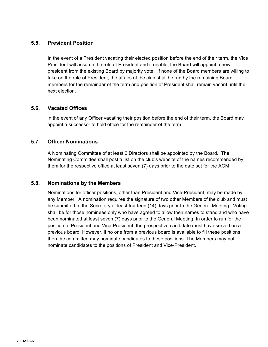## **5.5. President Position**

In the event of a President vacating their elected position before the end of their term, the Vice President will assume the role of President and if unable, the Board will appoint a new president from the existing Board by majority vote. If none of the Board members are willing to take on the role of President, the affairs of the club shall be run by the remaining Board members for the remainder of the term and position of President shall remain vacant until the next election.

## **5.6. Vacated Offices**

In the event of any Officer vacating their position before the end of their term, the Board may appoint a successor to hold office for the remainder of the term.

## **5.7. Officer Nominations**

A Nominating Committee of at least 2 Directors shall be appointed by the Board. The Nominating Committee shall post a list on the club's website of the names recommended by them for the respective office at least seven (7) days prior to the date set for the AGM.

## **5.8. Nominations by the Members**

Nominations for officer positions, other than President and Vice-President, may be made by any Member. A nomination requires the signature of two other Members of the club and must be submitted to the Secretary at least fourteen (14) days prior to the General Meeting. Voting shall be for those nominees only who have agreed to allow their names to stand and who have been nominated at least seven (7) days prior to the General Meeting. In order to run for the position of President and Vice-President, the prospective candidate must have served on a previous board. However, if no one from a previous board is available to fill these positions, then the committee may nominate candidates to these positions. The Members may not nominate candidates to the positions of President and Vice-President.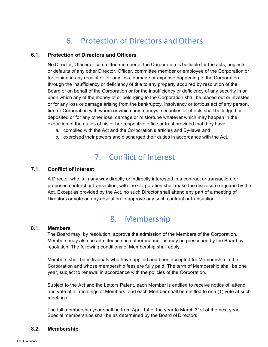# 6. Protection of Directors and Others

## **6.1. Protection of Directors and Officers**

No Director, Officer or committee member of the Corporation is be liable for the acts, neglects or defaults of any other Director, Officer, committee member or employee of the Corporation or for joining in any receipt or for any loss, damage or expense happening to the Corporation through the insufficiency or deficiency of title to any property acquired by resolution of the Board or on behalf of the Corporation or for the insufficiency or deficiency of any security in or upon which any of the money of or belonging to the Corporation shall be placed out or invested or for any loss or damage arising from the bankruptcy, insolvency or tortious act of any person, firm or Corporation with whom or which any moneys, securities or effects shall be lodged or deposited or for any other loss, damage or misfortune whatever which may happen in the execution of the duties of his or her respective office or trust provided that they have:

- a. complied with the Act and the Corporation's articles and By-laws;and
- b. exercised their powers and discharged their duties in accordance with the Act.

# 7. Conflict of Interest

## **7.1. Conflict of Interest**

A Director who is in any way directly or indirectly interested in a contract or transaction, or proposed contract or transaction, with the Corporation shall make the disclosure required by the Act. Except as provided by the Act, no such Director shall attend any part of a meeting of Directors or vote on any resolution to approve any such contract or transaction.

## 8. Membership

#### **8.1. Members**

The Board may, by resolution, approve the admission of the Members of the Corporation. Members may also be admitted in such other manner as may be prescribed by the Board by resolution. The following conditions of Membership shall apply:

Members shall be individuals who have applied and been accepted for Membership in the Corporation and whose membership fees are fully paid. The term of Membership shall be one year, subject to renewal in accordance with the policies of the Corporation.

Subject to the Act and the Letters Patent, each Member is entitled to receive notice of, attend, and vote at all meetings of Members, and each Member shall be entitled to one (1) vote at such meetings.

The full membership year shall be from April 1st of the year to March 31st of the next year. Special memberships shall be as determined by the Board of Directors.

#### **8.2. Membership**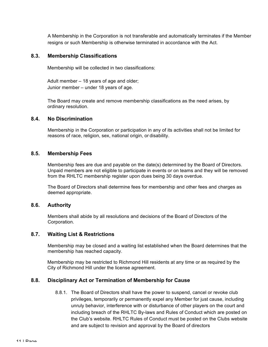A Membership in the Corporation is not transferable and automatically terminates if the Member resigns or such Membership is otherwise terminated in accordance with the Act.

## **8.3. Membership Classifications**

Membership will be collected in two classifications:

Adult member – 18 years of age and older; Junior member – under 18 years of age.

 The Board may create and remove membership classifications as the need arises, by ordinary resolution.

## **8.4. No Discrimination**

Membership in the Corporation or participation in any of its activities shall not be limited for reasons of race, religion, sex, national origin, or disability.

## **8.5. Membership Fees**

Membership fees are due and payable on the date(s) determined by the Board of Directors. Unpaid members are not eligible to participate in events or on teams and they will be removed from the RHLTC membership register upon dues being 30 days overdue.

The Board of Directors shall determine fees for membership and other fees and charges as deemed appropriate.

## **8.6. Authority**

Members shall abide by all resolutions and decisions of the Board of Directors of the Corporation.

## **8.7. Waiting List & Restrictions**

Membership may be closed and a waiting list established when the Board determines that the membership has reached capacity.

Membership may be restricted to Richmond Hill residents at any time or as required by the City of Richmond Hill under the license agreement.

## **8.8. Disciplinary Act or Termination of Membership for Cause**

8.8.1. The Board of Directors shall have the power to suspend, cancel or revoke club privileges, temporarily or permanently expel any Member for just cause, including unruly behavior, interference with or disturbance of other players on the court and including breach of the RHLTC By-laws and Rules of Conduct which are posted on the Club's website. RHLTC Rules of Conduct must be posted on the Clubs website and are subject to revision and approval by the Board of directors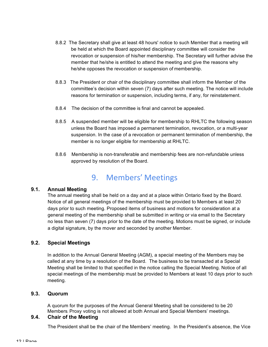- 8.8.2 The Secretary shall give at least 48 hours' notice to such Member that a meeting will be held at which the Board appointed disciplinary committee will consider the revocation or suspension of his/her membership. The Secretary will further advise the member that he/she is entitled to attend the meeting and give the reasons why he/she opposes the revocation or suspension of membership.
- 8.8.3 The President or chair of the disciplinary committee shall inform the Member of the committee's decision within seven (7) days after such meeting. The notice will include reasons for termination or suspension, including terms, if any, for reinstatement.
- 8.8.4 The decision of the committee is final and cannot be appealed.
- 8.8.5 A suspended member will be eligible for membership to RHLTC the following season unless the Board has imposed a permanent termination, revocation, or a multi-year suspension. In the case of a revocation or permanent termination of membership, the member is no longer eligible for membership at RHLTC.
- 8.8.6 Membership is non-transferable and membership fees are non-refundable unless approved by resolution of the Board.

# 9. Members' Meetings

## **9.1. Annual Meeting**

The annual meeting shall be held on a day and at a place within Ontario fixed by the Board. Notice of all general meetings of the membership must be provided to Members at least 20 days prior to such meeting. Proposed items of business and motions for consideration at a general meeting of the membership shall be submitted in writing or via email to the Secretary no less than seven (7) days prior to the date of the meeting. Motions must be signed, or include a digital signature, by the mover and seconded by another Member.

## **9.2. Special Meetings**

In addition to the Annual General Meeting (AGM), a special meeting of the Members may be called at any time by a resolution of the Board. The business to be transacted at a Special Meeting shall be limited to that specified in the notice calling the Special Meeting. Notice of all special meetings of the membership must be provided to Members at least 10 days prior to such meeting.

## **9.3. Quorum**

A quorum for the purposes of the Annual General Meeting shall be considered to be 20 Members. Proxy voting is not allowed at both Annual and Special Members' meetings.

## **9.4. Chair of the Meeting**

The President shall be the chair of the Members' meeting. In the President's absence, the Vice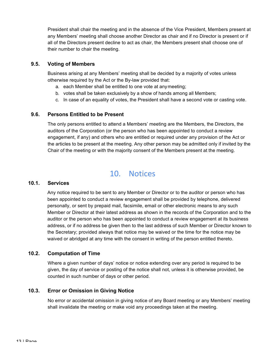President shall chair the meeting and in the absence of the Vice President, Members present at any Members' meeting shall choose another Director as chair and if no Director is present or if all of the Directors present decline to act as chair, the Members present shall choose one of their number to chair the meeting.

## **9.5. Voting of Members**

Business arising at any Members' meeting shall be decided by a majority of votes unless otherwise required by the Act or the By-law provided that:

- a. each Member shall be entitled to one vote at anymeeting;
- b. votes shall be taken exclusively by a show of hands among all Members;
- c. In case of an equality of votes, the President shall have a second vote or casting vote.

## **9.6. Persons Entitled to be Present**

The only persons entitled to attend a Members' meeting are the Members, the Directors, the auditors of the Corporation (or the person who has been appointed to conduct a review engagement, if any) and others who are entitled or required under any provision of the Act or the articles to be present at the meeting. Any other person may be admitted only if invited by the Chair of the meeting or with the majority consent of the Members present at the meeting.

## 10. Notices

## **10.1. Services**

Any notice required to be sent to any Member or Director or to the auditor or person who has been appointed to conduct a review engagement shall be provided by telephone, delivered personally, or sent by prepaid mail, facsimile, email or other electronic means to any such Member or Director at their latest address as shown in the records of the Corporation and to the auditor or the person who has been appointed to conduct a review engagement at its business address, or if no address be given then to the last address of such Member or Director known to the Secretary; provided always that notice may be waived or the time for the notice may be waived or abridged at any time with the consent in writing of the person entitled thereto.

## **10.2. Computation of Time**

Where a given number of days' notice or notice extending over any period is required to be given, the day of service or posting of the notice shall not, unless it is otherwise provided, be counted in such number of days or other period.

## **10.3. Error or Omission in Giving Notice**

No error or accidental omission in giving notice of any Board meeting or any Members' meeting shall invalidate the meeting or make void any proceedings taken at the meeting.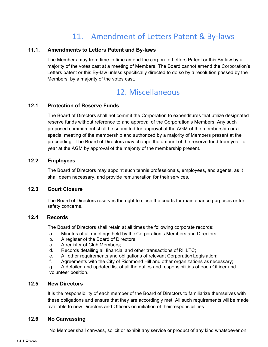# 11. Amendment of Letters Patent & By-laws

## **11.1. Amendments to Letters Patent and By-laws**

The Members may from time to time amend the corporate Letters Patent or this By-law by a majority of the votes cast at a meeting of Members. The Board cannot amend the Corporation's Letters patent or this By-law unless specifically directed to do so by a resolution passed by the Members, by a majority of the votes cast.

## 12. Miscellaneous

## **12.1 Protection of Reserve Funds**

The Board of Directors shall not commit the Corporation to expenditures that utilize designated reserve funds without reference to and approval of the Corporation's Members. Any such proposed commitment shall be submitted for approval at the AGM of the membership or a special meeting of the membership and authorized by a majority of Members present at the proceeding. The Board of Directors may change the amount of the reserve fund from year to year at the AGM by approval of the majority of the membership present.

## **12.2 Employees**

The Board of Directors may appoint such tennis professionals, employees, and agents, as it shall deem necessary, and provide remuneration for their services.

## **12.3 Court Closure**

The Board of Directors reserves the right to close the courts for maintenance purposes or for safety concerns.

## **12.4 Records**

The Board of Directors shall retain at all times the following corporate records:

- a. Minutes of all meetings held by the Corporation's Members and Directors;
- b. A register of the Board of Directors;
- c. A register of Club Members;
- d. Records detailing all financial and other transactions of RHLTC;
- e. All other requirements and obligations of relevant Corporation Legislation;
- f. Agreements with the City of Richmond Hill and other organizations as necessary;

g. A detailed and updated list of all the duties and responsibilities of each Officer and volunteer position.

## **12.5 New Directors**

It is the responsibility of each member of the Board of Directors to familiarize themselves with these obligations and ensure that they are accordingly met. All such requirements willbe made available to new Directors and Officers on initiation of theirresponsibilities.

## **12.6 No Canvassing**

No Member shall canvass, solicit or exhibit any service or product of any kind whatsoever on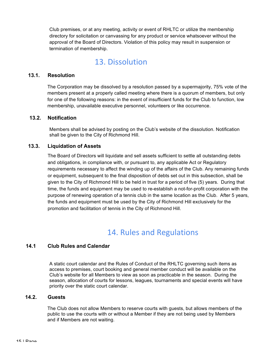Club premises, or at any meeting, activity or event of RHLTC or utilize the membership directory for solicitation or canvassing for any product or service whatsoever without the approval of the Board of Directors. Violation of this policy may result in suspension or termination of membership.

## 13. Dissolution

## **13.1. Resolution**

The Corporation may be dissolved by a resolution passed by a supermajority, 75% vote of the members present at a properly called meeting where there is a quorum of members, but only for one of the following reasons: in the event of insufficient funds for the Club to function, low membership, unavailable executive personnel, volunteers or like occurrence.

## **13.2. Notification**

Members shall be advised by posting on the Club's website of the dissolution. Notification shall be given to the City of Richmond Hill.

## **13.3. Liquidation of Assets**

The Board of Directors will liquidate and sell assets sufficient to settle all outstanding debts and obligations, in compliance with, or pursuant to, any applicable Act or Regulatory requirements necessary to affect the winding up of the affairs of the Club. Any remaining funds or equipment, subsequent to the final disposition of debts set out in this subsection, shall be given to the City of Richmond Hill to be held in trust for a period of five (5) years. During that time, the funds and equipment may be used to re-establish a not-for-profit corporation with the purpose of renewing operation of a tennis club in the same location as the Club. After 5 years, the funds and equipment must be used by the City of Richmond Hill exclusively for the promotion and facilitation of tennis in the City of Richmond Hill.

## 14. Rules and Regulations

## **14.1 Club Rules and Calendar**

A static court calendar and the Rules of Conduct of the RHLTC governing such items as access to premises, court booking and general member conduct will be available on the Club's website for all Members to view as soon as practicable in the season. During the season, allocation of courts for lessons, leagues, tournaments and special events will have priority over the static court calendar.

## **14.2. Guests**

The Club does not allow Members to reserve courts with guests, but allows members of the public to use the courts with or without a Member if they are not being used by Members and if Members are not waiting.